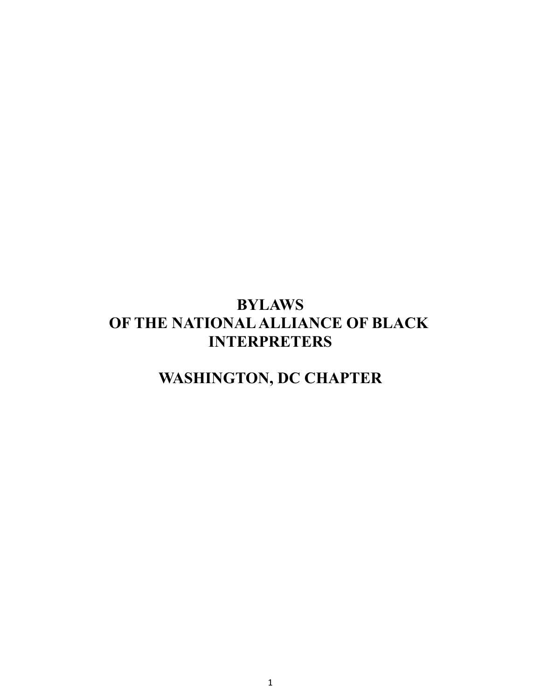## **BYLAWS OF THE NATIONALALLIANCE OF BLACK INTERPRETERS**

# **WASHINGTON, DC CHAPTER**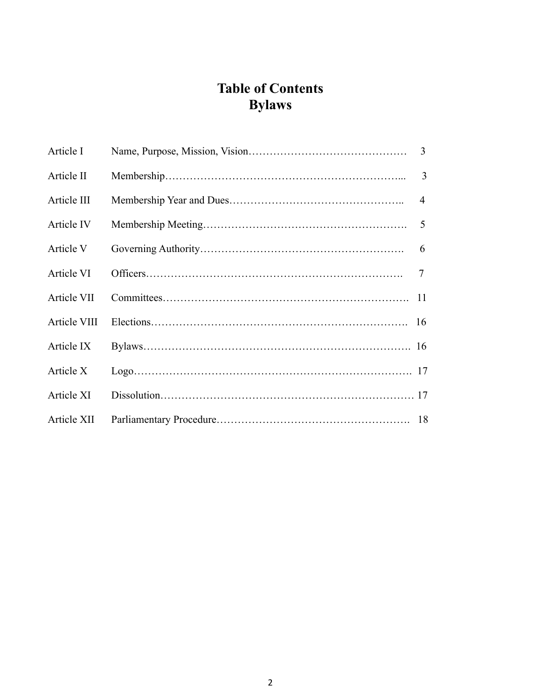## **Table of Contents Bylaws**

| Article I    | 3              |
|--------------|----------------|
| Article II   | 3              |
| Article III  | $\overline{4}$ |
| Article IV   | 5              |
| Article V    | 6              |
| Article VI   | $\tau$         |
| Article VII  | 11             |
| Article VIII |                |
| Article IX   |                |
| Article X    |                |
| Article XI   |                |
| Article XII  |                |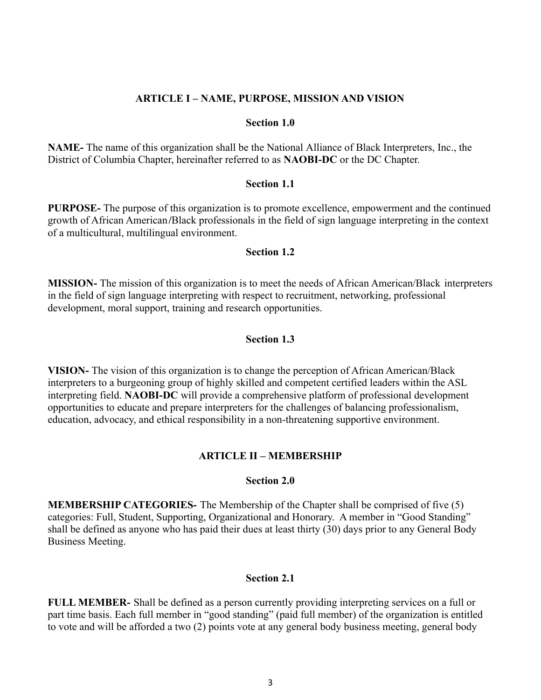#### **ARTICLE I – NAME, PURPOSE, MISSION AND VISION**

#### **Section 1.0**

**NAME-** The name of this organization shall be the National Alliance of Black Interpreters, Inc., the District of Columbia Chapter, hereinafter referred to as **NAOBI-DC** or the DC Chapter.

#### **Section 1.1**

**PURPOSE-** The purpose of this organization is to promote excellence, empowerment and the continued growth of African American**/**Black professionals in the field of sign language interpreting in the context of a multicultural, multilingual environment.

#### **Section 1.2**

**MISSION-** The mission of this organization is to meet the needs of African American/Black interpreters in the field of sign language interpreting with respect to recruitment, networking, professional development, moral support, training and research opportunities.

#### **Section 1.3**

**VISION-** The vision of this organization is to change the perception of African American/Black interpreters to a burgeoning group of highly skilled and competent certified leaders within the ASL interpreting field. **NAOBI-DC** will provide a comprehensive platform of professional development opportunities to educate and prepare interpreters for the challenges of balancing professionalism, education, advocacy, and ethical responsibility in a non-threatening supportive environment.

#### **ARTICLE II – MEMBERSHIP**

#### **Section 2.0**

**MEMBERSHIP CATEGORIES-** The Membership of the Chapter shall be comprised of five (5) categories: Full, Student, Supporting, Organizational and Honorary. A member in "Good Standing" shall be defined as anyone who has paid their dues at least thirty (30) days prior to any General Body Business Meeting.

#### **Section 2.1**

**FULL MEMBER-** Shall be defined as a person currently providing interpreting services on a full or part time basis. Each full member in "good standing" (paid full member) of the organization is entitled to vote and will be afforded a two (2) points vote at any general body business meeting, general body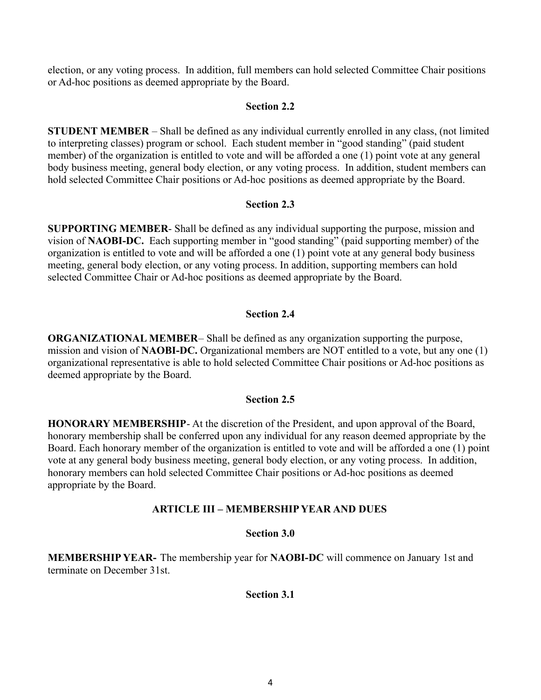election, or any voting process. In addition, full members can hold selected Committee Chair positions or Ad-hoc positions as deemed appropriate by the Board.

## **Section 2.2**

**STUDENT MEMBER** – Shall be defined as any individual currently enrolled in any class, (not limited to interpreting classes) program or school. Each student member in "good standing" (paid student member) of the organization is entitled to vote and will be afforded a one (1) point vote at any general body business meeting, general body election, or any voting process. In addition, student members can hold selected Committee Chair positions or Ad-hoc positions as deemed appropriate by the Board.

## **Section 2.3**

**SUPPORTING MEMBER**- Shall be defined as any individual supporting the purpose, mission and vision of **NAOBI-DC.** Each supporting member in "good standing" (paid supporting member) of the organization is entitled to vote and will be afforded a one (1) point vote at any general body business meeting, general body election, or any voting process. In addition, supporting members can hold selected Committee Chair or Ad-hoc positions as deemed appropriate by the Board.

## **Section 2.4**

**ORGANIZATIONAL MEMBER**– Shall be defined as any organization supporting the purpose, mission and vision of **NAOBI-DC.** Organizational members are NOT entitled to a vote, but any one (1) organizational representative is able to hold selected Committee Chair positions or Ad-hoc positions as deemed appropriate by the Board.

## **Section 2.5**

**HONORARY MEMBERSHIP**- At the discretion of the President, and upon approval of the Board, honorary membership shall be conferred upon any individual for any reason deemed appropriate by the Board. Each honorary member of the organization is entitled to vote and will be afforded a one (1) point vote at any general body business meeting, general body election, or any voting process. In addition, honorary members can hold selected Committee Chair positions or Ad-hoc positions as deemed appropriate by the Board.

## **ARTICLE III – MEMBERSHIP YEAR AND DUES**

## **Section 3.0**

**MEMBERSHIP YEAR-** The membership year for **NAOBI-DC** will commence on January 1st and terminate on December 31st.

## **Section 3.1**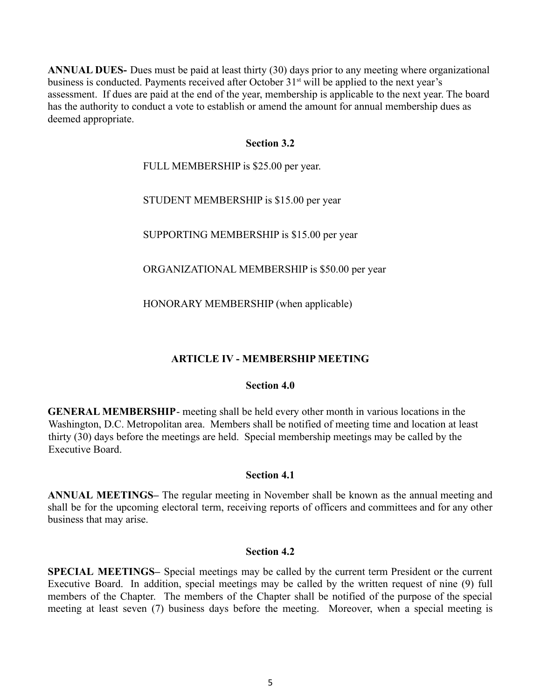**ANNUAL DUES-** Dues must be paid at least thirty (30) days prior to any meeting where organizational business is conducted. Payments received after October 31<sup>st</sup> will be applied to the next year's assessment. If dues are paid at the end of the year, membership is applicable to the next year. The board has the authority to conduct a vote to establish or amend the amount for annual membership dues as deemed appropriate.

#### **Section 3.2**

FULL MEMBERSHIP is \$25.00 per year.

STUDENT MEMBERSHIP is \$15.00 per year

SUPPORTING MEMBERSHIP is \$15.00 per year

ORGANIZATIONAL MEMBERSHIP is \$50.00 per year

HONORARY MEMBERSHIP (when applicable)

## **ARTICLE IV - MEMBERSHIP MEETING**

## **Section 4.0**

**GENERAL MEMBERSHIP**- meeting shall be held every other month in various locations in the Washington, D.C. Metropolitan area. Members shall be notified of meeting time and location at least thirty (30) days before the meetings are held. Special membership meetings may be called by the Executive Board.

#### **Section 4.1**

**ANNUAL MEETINGS–** The regular meeting in November shall be known as the annual meeting and shall be for the upcoming electoral term, receiving reports of officers and committees and for any other business that may arise.

#### **Section 4.2**

**SPECIAL MEETINGS–** Special meetings may be called by the current term President or the current Executive Board. In addition, special meetings may be called by the written request of nine (9) full members of the Chapter. The members of the Chapter shall be notified of the purpose of the special meeting at least seven (7) business days before the meeting. Moreover, when a special meeting is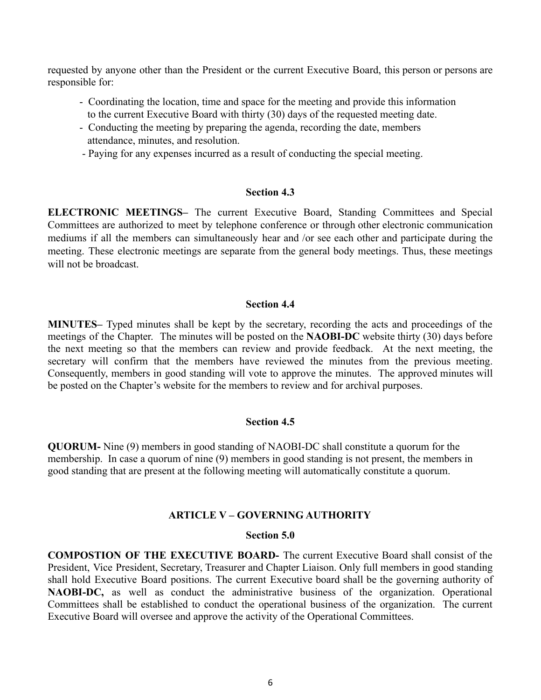requested by anyone other than the President or the current Executive Board, this person or persons are responsible for:

- Coordinating the location, time and space for the meeting and provide this information to the current Executive Board with thirty (30) days of the requested meeting date.
- Conducting the meeting by preparing the agenda, recording the date, members attendance, minutes, and resolution.
- Paying for any expenses incurred as a result of conducting the special meeting.

#### **Section 4.3**

**ELECTRONIC MEETINGS–** The current Executive Board, Standing Committees and Special Committees are authorized to meet by telephone conference or through other electronic communication mediums if all the members can simultaneously hear and /or see each other and participate during the meeting. These electronic meetings are separate from the general body meetings. Thus, these meetings will not be broadcast.

#### **Section 4.4**

**MINUTES–** Typed minutes shall be kept by the secretary, recording the acts and proceedings of the meetings of the Chapter. The minutes will be posted on the **NAOBI-DC** website thirty (30) days before the next meeting so that the members can review and provide feedback. At the next meeting, the secretary will confirm that the members have reviewed the minutes from the previous meeting. Consequently, members in good standing will vote to approve the minutes. The approved minutes will be posted on the Chapter's website for the members to review and for archival purposes.

#### **Section 4.5**

**QUORUM-** Nine (9) members in good standing of NAOBI-DC shall constitute a quorum for the membership. In case a quorum of nine (9) members in good standing is not present, the members in good standing that are present at the following meeting will automatically constitute a quorum.

#### **ARTICLE V – GOVERNING AUTHORITY**

#### **Section 5.0**

**COMPOSTION OF THE EXECUTIVE BOARD-** The current Executive Board shall consist of the President, Vice President, Secretary, Treasurer and Chapter Liaison. Only full members in good standing shall hold Executive Board positions. The current Executive board shall be the governing authority of **NAOBI-DC,** as well as conduct the administrative business of the organization. Operational Committees shall be established to conduct the operational business of the organization. The current Executive Board will oversee and approve the activity of the Operational Committees.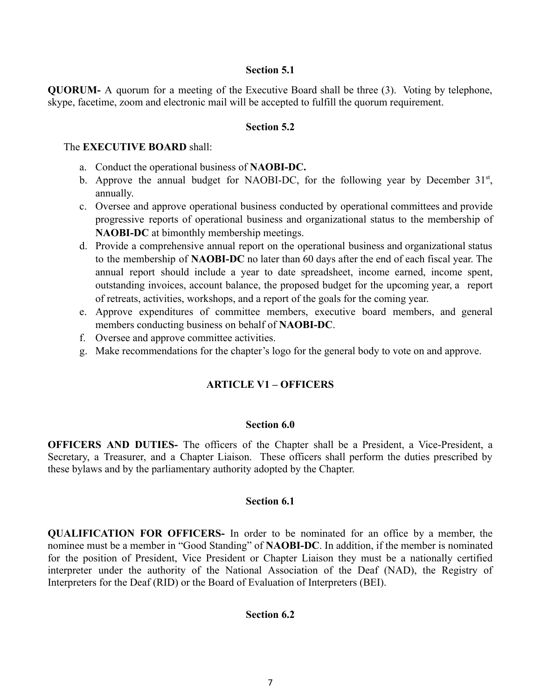#### **Section 5.1**

**QUORUM-** A quorum for a meeting of the Executive Board shall be three (3). Voting by telephone, skype, facetime, zoom and electronic mail will be accepted to fulfill the quorum requirement.

#### **Section 5.2**

#### The **EXECUTIVE BOARD** shall:

- a. Conduct the operational business of **NAOBI-DC.**
- b. Approve the annual budget for NAOBI-DC, for the following year by December  $31<sup>st</sup>$ , annually.
- c. Oversee and approve operational business conducted by operational committees and provide progressive reports of operational business and organizational status to the membership of **NAOBI-DC** at bimonthly membership meetings.
- d. Provide a comprehensive annual report on the operational business and organizational status to the membership of **NAOBI-DC** no later than 60 days after the end of each fiscal year. The annual report should include a year to date spreadsheet, income earned, income spent, outstanding invoices, account balance, the proposed budget for the upcoming year, a report of retreats, activities, workshops, and a report of the goals for the coming year.
- e. Approve expenditures of committee members, executive board members, and general members conducting business on behalf of **NAOBI-DC**.
- f. Oversee and approve committee activities.
- g. Make recommendations for the chapter's logo for the general body to vote on and approve.

## **ARTICLE V1 – OFFICERS**

#### **Section 6.0**

**OFFICERS AND DUTIES-** The officers of the Chapter shall be a President, a Vice-President, a Secretary, a Treasurer, and a Chapter Liaison. These officers shall perform the duties prescribed by these bylaws and by the parliamentary authority adopted by the Chapter.

## **Section 6.1**

**QUALIFICATION FOR OFFICERS-** In order to be nominated for an office by a member, the nominee must be a member in "Good Standing" of **NAOBI-DC**. In addition, if the member is nominated for the position of President, Vice President or Chapter Liaison they must be a nationally certified interpreter under the authority of the National Association of the Deaf (NAD), the Registry of Interpreters for the Deaf (RID) or the Board of Evaluation of Interpreters (BEI).

#### **Section 6.2**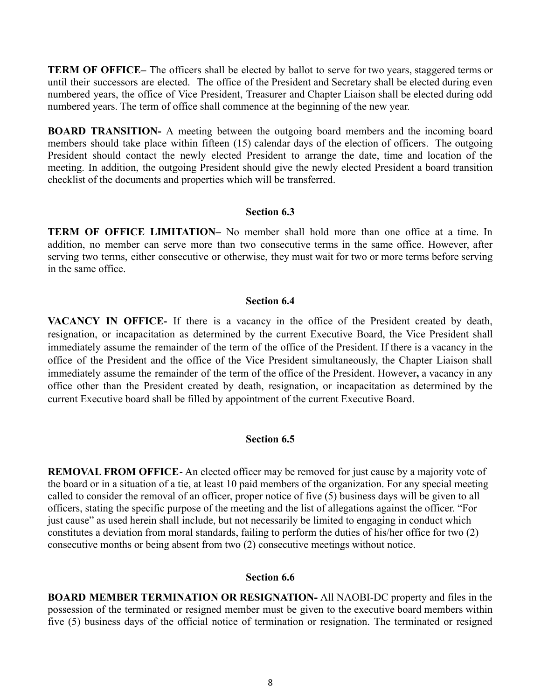**TERM OF OFFICE–** The officers shall be elected by ballot to serve for two years, staggered terms or until their successors are elected. The office of the President and Secretary shall be elected during even numbered years, the office of Vice President, Treasurer and Chapter Liaison shall be elected during odd numbered years. The term of office shall commence at the beginning of the new year.

**BOARD TRANSITION-** A meeting between the outgoing board members and the incoming board members should take place within fifteen (15) calendar days of the election of officers. The outgoing President should contact the newly elected President to arrange the date, time and location of the meeting. In addition, the outgoing President should give the newly elected President a board transition checklist of the documents and properties which will be transferred.

#### **Section 6.3**

**TERM OF OFFICE LIMITATION–** No member shall hold more than one office at a time. In addition, no member can serve more than two consecutive terms in the same office. However, after serving two terms, either consecutive or otherwise, they must wait for two or more terms before serving in the same office.

#### **Section 6.4**

**VACANCY IN OFFICE-** If there is a vacancy in the office of the President created by death, resignation, or incapacitation as determined by the current Executive Board, the Vice President shall immediately assume the remainder of the term of the office of the President. If there is a vacancy in the office of the President and the office of the Vice President simultaneously, the Chapter Liaison shall immediately assume the remainder of the term of the office of the President. However**,** a vacancy in any office other than the President created by death, resignation, or incapacitation as determined by the current Executive board shall be filled by appointment of the current Executive Board.

## **Section 6.5**

**REMOVAL FROM OFFICE**- An elected officer may be removed for just cause by a majority vote of the board or in a situation of a tie, at least 10 paid members of the organization. For any special meeting called to consider the removal of an officer, proper notice of five (5) business days will be given to all officers, stating the specific purpose of the meeting and the list of allegations against the officer. "For just cause" as used herein shall include, but not necessarily be limited to engaging in conduct which constitutes a deviation from moral standards, failing to perform the duties of his/her office for two (2) consecutive months or being absent from two (2) consecutive meetings without notice.

## **Section 6.6**

**BOARD MEMBER TERMINATION OR RESIGNATION-** All NAOBI-DC property and files in the possession of the terminated or resigned member must be given to the executive board members within five (5) business days of the official notice of termination or resignation. The terminated or resigned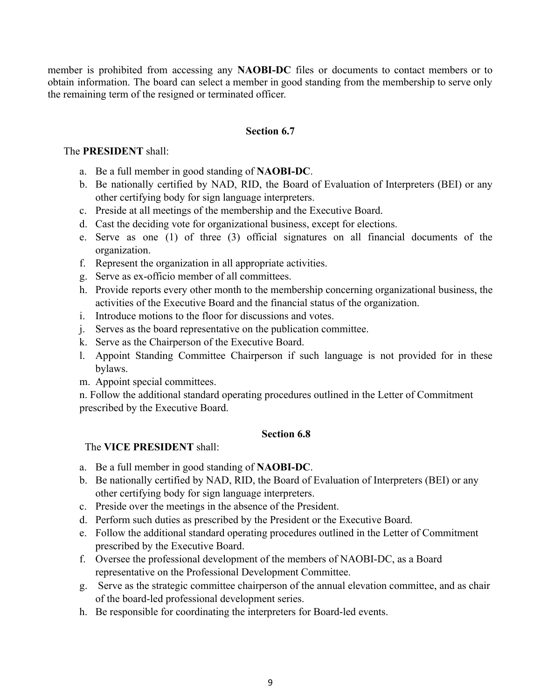member is prohibited from accessing any **NAOBI-DC** files or documents to contact members or to obtain information. The board can select a member in good standing from the membership to serve only the remaining term of the resigned or terminated officer.

## **Section 6.7**

## The **PRESIDENT** shall:

- a. Be a full member in good standing of **NAOBI-DC**.
- b. Be nationally certified by NAD, RID, the Board of Evaluation of Interpreters (BEI) or any other certifying body for sign language interpreters.
- c. Preside at all meetings of the membership and the Executive Board.
- d. Cast the deciding vote for organizational business, except for elections.
- e. Serve as one (1) of three (3) official signatures on all financial documents of the organization.
- f. Represent the organization in all appropriate activities.
- g. Serve as ex-officio member of all committees.
- h. Provide reports every other month to the membership concerning organizational business, the activities of the Executive Board and the financial status of the organization.
- i. Introduce motions to the floor for discussions and votes.
- j. Serves as the board representative on the publication committee.
- k. Serve as the Chairperson of the Executive Board.
- l. Appoint Standing Committee Chairperson if such language is not provided for in these bylaws.
- m. Appoint special committees.

n. Follow the additional standard operating procedures outlined in the Letter of Commitment prescribed by the Executive Board.

## **Section 6.8**

## The **VICE PRESIDENT** shall:

- a. Be a full member in good standing of **NAOBI-DC**.
- b. Be nationally certified by NAD, RID, the Board of Evaluation of Interpreters (BEI) or any other certifying body for sign language interpreters.
- c. Preside over the meetings in the absence of the President.
- d. Perform such duties as prescribed by the President or the Executive Board.
- e. Follow the additional standard operating procedures outlined in the Letter of Commitment prescribed by the Executive Board.
- f. Oversee the professional development of the members of NAOBI-DC, as a Board representative on the Professional Development Committee.
- g. Serve as the strategic committee chairperson of the annual elevation committee, and as chair of the board-led professional development series.
- h. Be responsible for coordinating the interpreters for Board-led events.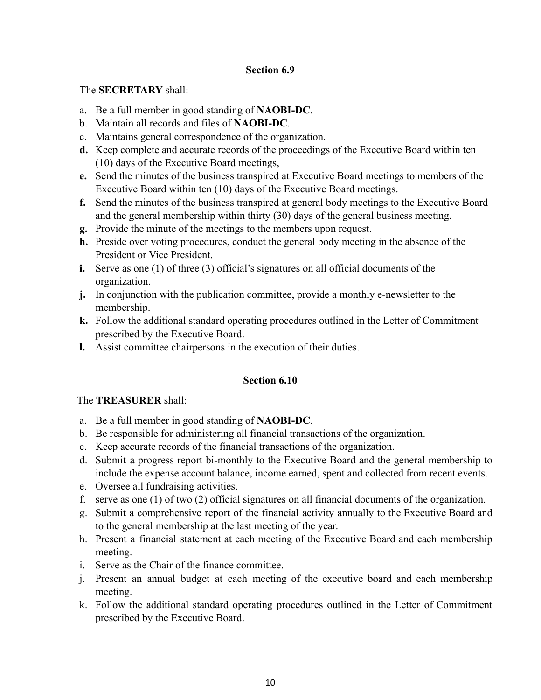## **Section 6.9**

The **SECRETARY** shall:

- a. Be a full member in good standing of **NAOBI-DC**.
- b. Maintain all records and files of **NAOBI-DC**.
- c. Maintains general correspondence of the organization.
- **d.** Keep complete and accurate records of the proceedings of the Executive Board within ten (10) days of the Executive Board meetings,
- **e.** Send the minutes of the business transpired at Executive Board meetings to members of the Executive Board within ten (10) days of the Executive Board meetings.
- **f.** Send the minutes of the business transpired at general body meetings to the Executive Board and the general membership within thirty (30) days of the general business meeting.
- **g.** Provide the minute of the meetings to the members upon request.
- **h.** Preside over voting procedures, conduct the general body meeting in the absence of the President or Vice President.
- **i.** Serve as one (1) of three (3) official's signatures on all official documents of the organization.
- **j.** In conjunction with the publication committee, provide a monthly e-newsletter to the membership.
- **k.** Follow the additional standard operating procedures outlined in the Letter of Commitment prescribed by the Executive Board.
- **l.** Assist committee chairpersons in the execution of their duties.

## **Section 6.10**

## The **TREASURER** shall:

- a. Be a full member in good standing of **NAOBI-DC**.
- b. Be responsible for administering all financial transactions of the organization.
- c. Keep accurate records of the financial transactions of the organization.
- d. Submit a progress report bi-monthly to the Executive Board and the general membership to include the expense account balance, income earned, spent and collected from recent events.
- e. Oversee all fundraising activities.
- f. serve as one (1) of two (2) official signatures on all financial documents of the organization.
- g. Submit a comprehensive report of the financial activity annually to the Executive Board and to the general membership at the last meeting of the year.
- h. Present a financial statement at each meeting of the Executive Board and each membership meeting.
- i. Serve as the Chair of the finance committee.
- j. Present an annual budget at each meeting of the executive board and each membership meeting.
- k. Follow the additional standard operating procedures outlined in the Letter of Commitment prescribed by the Executive Board.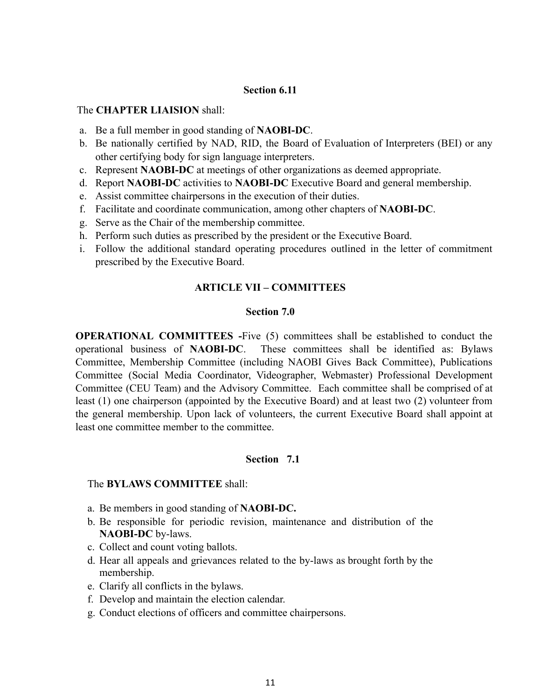#### **Section 6.11**

#### The **CHAPTER LIAISION** shall:

- a. Be a full member in good standing of **NAOBI-DC**.
- b. Be nationally certified by NAD, RID, the Board of Evaluation of Interpreters (BEI) or any other certifying body for sign language interpreters.
- c. Represent **NAOBI-DC** at meetings of other organizations as deemed appropriate.
- d. Report **NAOBI-DC** activities to **NAOBI-DC** Executive Board and general membership.
- e. Assist committee chairpersons in the execution of their duties.
- f. Facilitate and coordinate communication, among other chapters of **NAOBI-DC**.
- g. Serve as the Chair of the membership committee.
- h. Perform such duties as prescribed by the president or the Executive Board.
- i. Follow the additional standard operating procedures outlined in the letter of commitment prescribed by the Executive Board.

## **ARTICLE VII – COMMITTEES**

## **Section 7.0**

**OPERATIONAL COMMITTEES -**Five (5) committees shall be established to conduct the operational business of **NAOBI-DC**. These committees shall be identified as: Bylaws Committee, Membership Committee (including NAOBI Gives Back Committee), Publications Committee (Social Media Coordinator, Videographer, Webmaster) Professional Development Committee (CEU Team) and the Advisory Committee. Each committee shall be comprised of at least (1) one chairperson (appointed by the Executive Board) and at least two (2) volunteer from the general membership. Upon lack of volunteers, the current Executive Board shall appoint at least one committee member to the committee.

## **Section 7.1**

#### The **BYLAWS COMMITTEE** shall:

- a. Be members in good standing of **NAOBI-DC.**
- b. Be responsible for periodic revision, maintenance and distribution of the **NAOBI-DC** by-laws.
- c. Collect and count voting ballots.
- d. Hear all appeals and grievances related to the by-laws as brought forth by the membership.
- e. Clarify all conflicts in the bylaws.
- f. Develop and maintain the election calendar.
- g. Conduct elections of officers and committee chairpersons.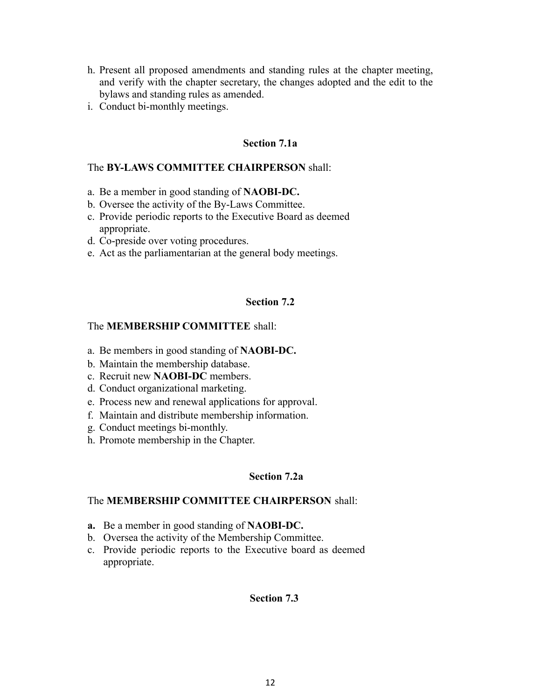- h. Present all proposed amendments and standing rules at the chapter meeting, and verify with the chapter secretary, the changes adopted and the edit to the bylaws and standing rules as amended.
- i. Conduct bi-monthly meetings.

## **Section 7.1a**

## The **BY-LAWS COMMITTEE CHAIRPERSON** shall:

- a. Be a member in good standing of **NAOBI-DC.**
- b. Oversee the activity of the By-Laws Committee.
- c. Provide periodic reports to the Executive Board as deemed appropriate.
- d. Co-preside over voting procedures.
- e. Act as the parliamentarian at the general body meetings.

## **Section 7.2**

## The **MEMBERSHIP COMMITTEE** shall:

- a. Be members in good standing of **NAOBI-DC.**
- b. Maintain the membership database.
- c. Recruit new **NAOBI-DC** members.
- d. Conduct organizational marketing.
- e. Process new and renewal applications for approval.
- f. Maintain and distribute membership information.
- g. Conduct meetings bi-monthly.
- h. Promote membership in the Chapter.

## **Section 7.2a**

## The **MEMBERSHIP COMMITTEE CHAIRPERSON** shall:

- **a.** Be a member in good standing of **NAOBI-DC.**
- b. Oversea the activity of the Membership Committee.
- c. Provide periodic reports to the Executive board as deemed appropriate.

#### **Section 7.3**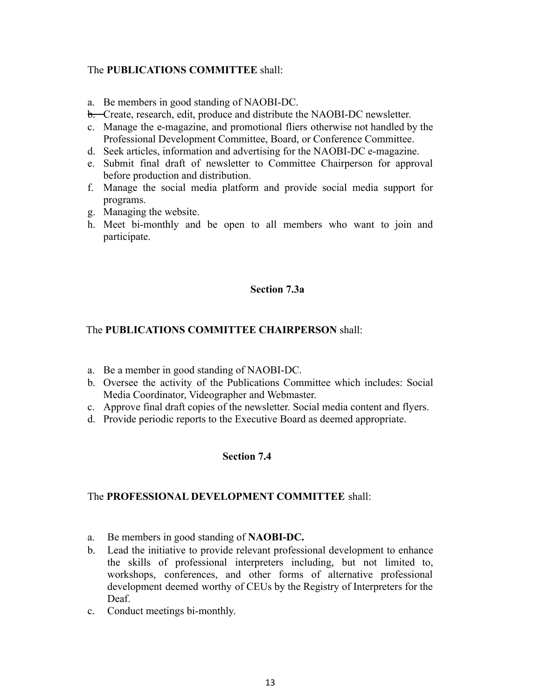## The **PUBLICATIONS COMMITTEE** shall:

- a. Be members in good standing of NAOBI-DC.
- b. Create, research, edit, produce and distribute the NAOBI-DC newsletter.
- c. Manage the e-magazine, and promotional fliers otherwise not handled by the Professional Development Committee, Board, or Conference Committee.
- d. Seek articles, information and advertising for the NAOBI-DC e-magazine.
- e. Submit final draft of newsletter to Committee Chairperson for approval before production and distribution.
- f. Manage the social media platform and provide social media support for programs.
- g. Managing the website.
- h. Meet bi-monthly and be open to all members who want to join and participate.

#### **Section 7.3a**

## The **PUBLICATIONS COMMITTEE CHAIRPERSON** shall:

- a. Be a member in good standing of NAOBI-DC.
- b. Oversee the activity of the Publications Committee which includes: Social Media Coordinator, Videographer and Webmaster.
- c. Approve final draft copies of the newsletter. Social media content and flyers.
- d. Provide periodic reports to the Executive Board as deemed appropriate.

## **Section 7.4**

## The **PROFESSIONAL DEVELOPMENT COMMITTEE** shall:

- a. Be members in good standing of **NAOBI-DC.**
- b. Lead the initiative to provide relevant professional development to enhance the skills of professional interpreters including, but not limited to, workshops, conferences, and other forms of alternative professional development deemed worthy of CEUs by the Registry of Interpreters for the Deaf.
- c. Conduct meetings bi-monthly.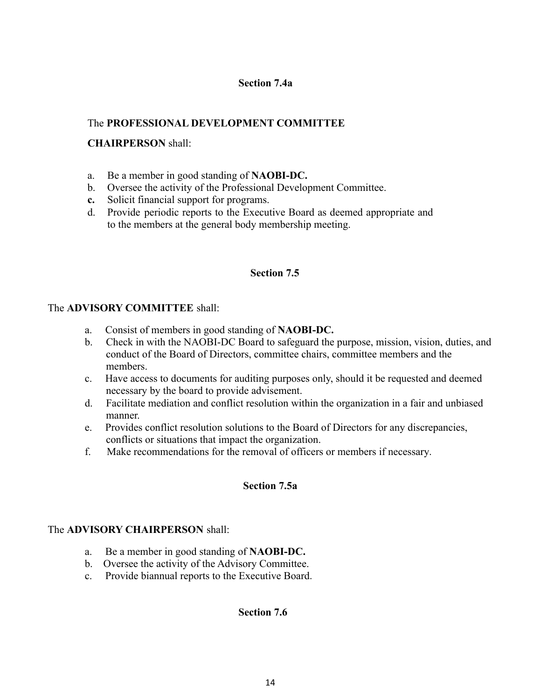## **Section 7.4a**

## The **PROFESSIONAL DEVELOPMENT COMMITTEE**

## **CHAIRPERSON** shall:

- a. Be a member in good standing of **NAOBI-DC.**
- b. Oversee the activity of the Professional Development Committee.
- **c.** Solicit financial support for programs.
- d. Provide periodic reports to the Executive Board as deemed appropriate and to the members at the general body membership meeting.

## **Section 7.5**

## The **ADVISORY COMMITTEE** shall:

- a. Consist of members in good standing of **NAOBI-DC.**
- b. Check in with the NAOBI-DC Board to safeguard the purpose, mission, vision, duties, and conduct of the Board of Directors, committee chairs, committee members and the members.
- c. Have access to documents for auditing purposes only, should it be requested and deemed necessary by the board to provide advisement.
- d. Facilitate mediation and conflict resolution within the organization in a fair and unbiased manner.
- e. Provides conflict resolution solutions to the Board of Directors for any discrepancies, conflicts or situations that impact the organization.
- f. Make recommendations for the removal of officers or members if necessary.

## **Section 7.5a**

## The **ADVISORY CHAIRPERSON** shall:

- a. Be a member in good standing of **NAOBI-DC.**
- b. Oversee the activity of the Advisory Committee.
- c. Provide biannual reports to the Executive Board.

## **Section 7.6**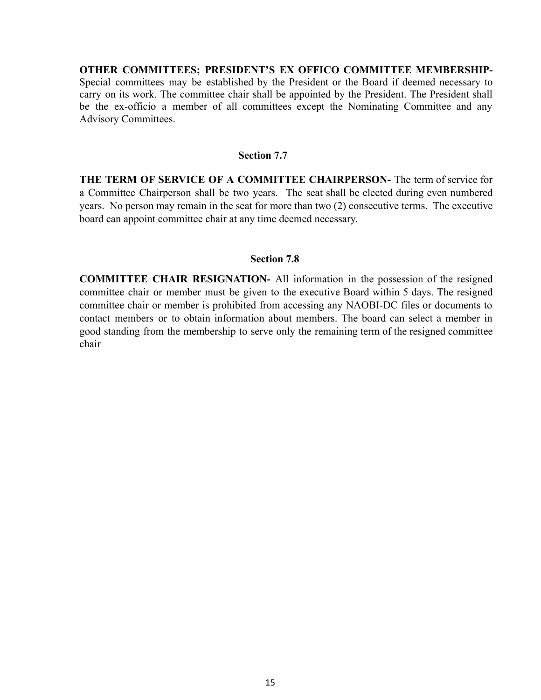**OTHER COMMITTEES; PRESIDENT'S EX OFFICO COMMITTEE MEMBERSHIP-**Special committees may be established by the President or the Board if deemed necessary to carry on its work. The committee chair shall be appointed by the President. The President shall be the ex-officio a member of all committees except the Nominating Committee and any Advisory Committees.

## **Section 7.7**

**THE TERM OF SERVICE OF A COMMITTEE CHAIRPERSON-** The term of service for a Committee Chairperson shall be two years. The seat shall be elected during even numbered years. No person may remain in the seat for more than two (2) consecutive terms. The executive board can appoint committee chair at any time deemed necessary.

#### **Section 7.8**

**COMMITTEE CHAIR RESIGNATION-** All information in the possession of the resigned committee chair or member must be given to the executive Board within 5 days. The resigned committee chair or member is prohibited from accessing any NAOBI-DC files or documents to contact members or to obtain information about members. The board can select a member in good standing from the membership to serve only the remaining term of the resigned committee chair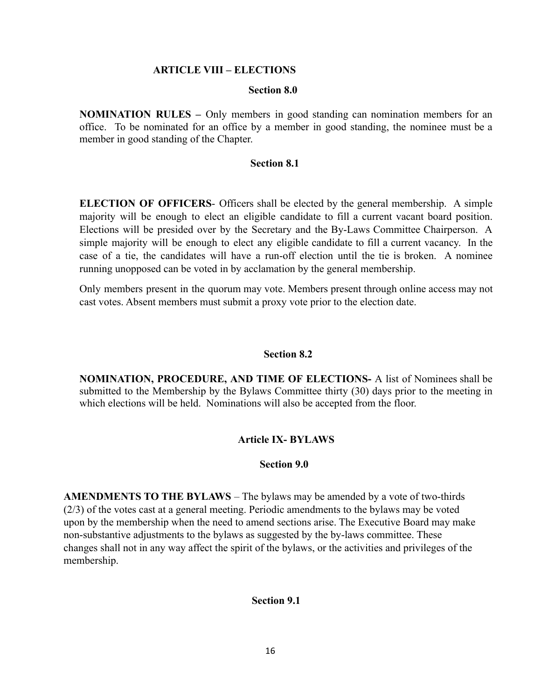#### **ARTICLE VIII – ELECTIONS**

#### **Section 8.0**

**NOMINATION RULES –** Only members in good standing can nomination members for an office. To be nominated for an office by a member in good standing, the nominee must be a member in good standing of the Chapter.

#### **Section 8.1**

**ELECTION OF OFFICERS**- Officers shall be elected by the general membership. A simple majority will be enough to elect an eligible candidate to fill a current vacant board position. Elections will be presided over by the Secretary and the By-Laws Committee Chairperson. A simple majority will be enough to elect any eligible candidate to fill a current vacancy. In the case of a tie, the candidates will have a run-off election until the tie is broken. A nominee running unopposed can be voted in by acclamation by the general membership.

Only members present in the quorum may vote. Members present through online access may not cast votes. Absent members must submit a proxy vote prior to the election date.

#### **Section 8.2**

**NOMINATION, PROCEDURE, AND TIME OF ELECTIONS-** A list of Nominees shall be submitted to the Membership by the Bylaws Committee thirty (30) days prior to the meeting in which elections will be held. Nominations will also be accepted from the floor.

#### **Article IX- BYLAWS**

#### **Section 9.0**

**AMENDMENTS TO THE BYLAWS** – The bylaws may be amended by a vote of two-thirds (2/3) of the votes cast at a general meeting. Periodic amendments to the bylaws may be voted upon by the membership when the need to amend sections arise. The Executive Board may make non-substantive adjustments to the bylaws as suggested by the by-laws committee. These changes shall not in any way affect the spirit of the bylaws, or the activities and privileges of the membership.

#### **Section 9.1**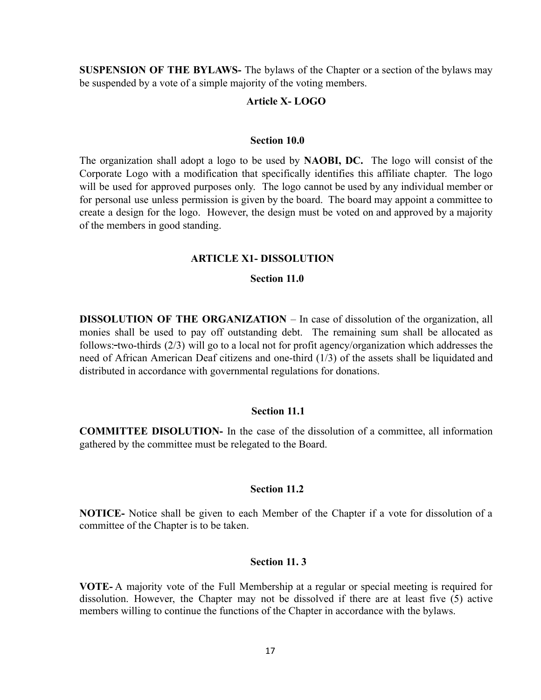**SUSPENSION OF THE BYLAWS-** The bylaws of the Chapter or a section of the bylaws may be suspended by a vote of a simple majority of the voting members.

#### **Article X- LOGO**

#### **Section 10.0**

The organization shall adopt a logo to be used by **NAOBI, DC.** The logo will consist of the Corporate Logo with a modification that specifically identifies this affiliate chapter. The logo will be used for approved purposes only. The logo cannot be used by any individual member or for personal use unless permission is given by the board. The board may appoint a committee to create a design for the logo. However, the design must be voted on and approved by a majority of the members in good standing.

#### **ARTICLE X1- DISSOLUTION**

#### **Section 11.0**

**DISSOLUTION OF THE ORGANIZATION** – In case of dissolution of the organization, all monies shall be used to pay off outstanding debt. The remaining sum shall be allocated as follows: two-thirds (2/3) will go to a local not for profit agency/organization which addresses the need of African American Deaf citizens and one-third (1/3) of the assets shall be liquidated and distributed in accordance with governmental regulations for donations.

#### **Section 11.1**

**COMMITTEE DISOLUTION-** In the case of the dissolution of a committee, all information gathered by the committee must be relegated to the Board.

#### **Section 11.2**

**NOTICE-** Notice shall be given to each Member of the Chapter if a vote for dissolution of a committee of the Chapter is to be taken.

#### **Section 11. 3**

**VOTE-** A majority vote of the Full Membership at a regular or special meeting is required for dissolution. However, the Chapter may not be dissolved if there are at least five (5) active members willing to continue the functions of the Chapter in accordance with the bylaws.